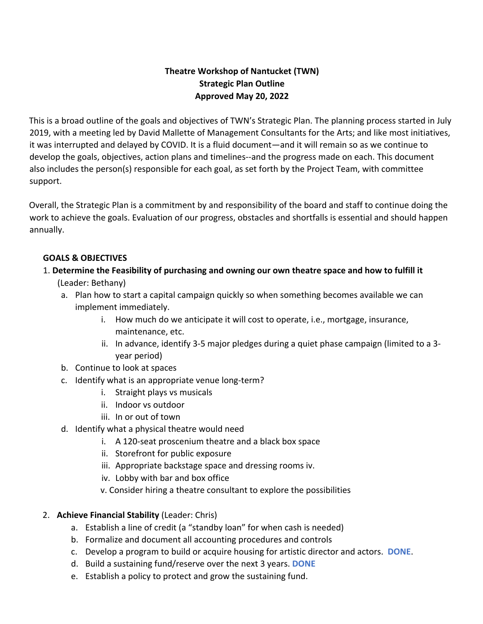# **Theatre Workshop of Nantucket (TWN) Strategic Plan Outline Approved May 20, 2022**

This is a broad outline of the goals and objectives of TWN's Strategic Plan. The planning process started in July 2019, with a meeting led by David Mallette of Management Consultants for the Arts; and like most initiatives, it was interrupted and delayed by COVID. It is a fluid document—and it will remain so as we continue to develop the goals, objectives, action plans and timelines--and the progress made on each. This document also includes the person(s) responsible for each goal, as set forth by the Project Team, with committee support.

Overall, the Strategic Plan is a commitment by and responsibility of the board and staff to continue doing the work to achieve the goals. Evaluation of our progress, obstacles and shortfalls is essential and should happen annually.

#### **GOALS & OBJECTIVES**

## 1. **Determine the Feasibility of purchasing and owning our own theatre space and how to fulfill it**

- (Leader: Bethany)
- a. Plan how to start a capital campaign quickly so when something becomes available we can implement immediately.
	- i. How much do we anticipate it will cost to operate, i.e., mortgage, insurance, maintenance, etc.
	- ii. In advance, identify 3-5 major pledges during a quiet phase campaign (limited to a 3 year period)
- b. Continue to look at spaces
- c. Identify what is an appropriate venue long-term?
	- i. Straight plays vs musicals
	- ii. Indoor vs outdoor
	- iii. In or out of town
- d. Identify what a physical theatre would need
	- i. A 120-seat proscenium theatre and a black box space
	- ii. Storefront for public exposure
	- iii. Appropriate backstage space and dressing rooms iv.
	- iv. Lobby with bar and box office
	- v. Consider hiring a theatre consultant to explore the possibilities
- 2. **Achieve Financial Stability** (Leader: Chris)
	- a. Establish a line of credit (a "standby loan" for when cash is needed)
	- b. Formalize and document all accounting procedures and controls
	- c. Develop a program to build or acquire housing for artistic director and actors. **DONE**.
	- d. Build a sustaining fund/reserve over the next 3 years. **DONE**
	- e. Establish a policy to protect and grow the sustaining fund.